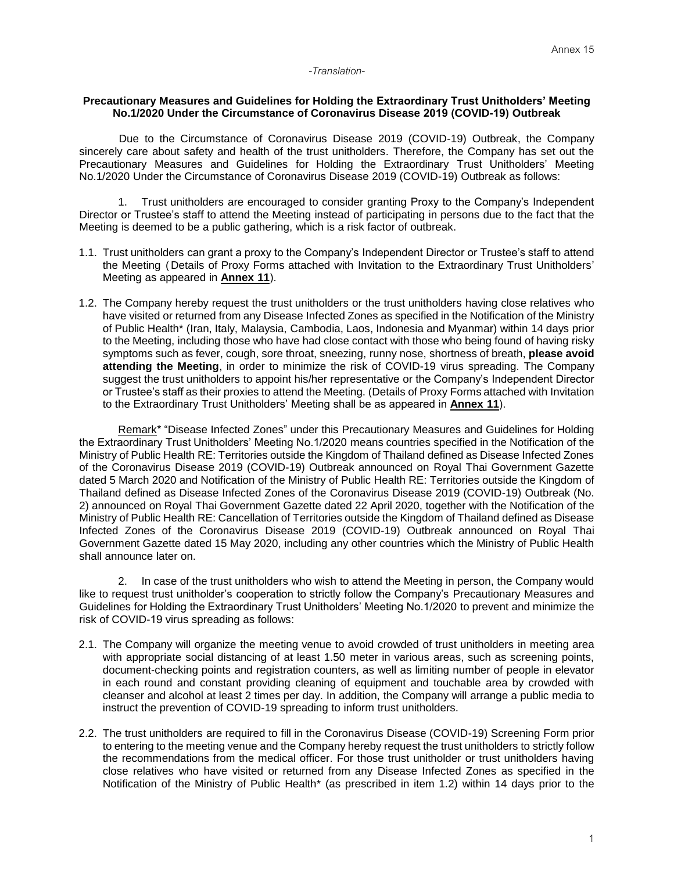## *-Translation-*

## **Precautionary Measures and Guidelines for Holding the Extraordinary Trust Unitholders' Meeting No.1/2020 Under the Circumstance of Coronavirus Disease 2019 (COVID-19) Outbreak**

Due to the Circumstance of Coronavirus Disease 2019 (COVID-19) Outbreak, the Company sincerely care about safety and health of the trust unitholders. Therefore, the Company has set out the Precautionary Measures and Guidelines for Holding the Extraordinary Trust Unitholders' Meeting No.1/2020 Under the Circumstance of Coronavirus Disease 2019 (COVID-19) Outbreak as follows:

1. Trust unitholders are encouraged to consider granting Proxy to the Company's Independent Director or Trustee's staff to attend the Meeting instead of participating in persons due to the fact that the Meeting is deemed to be a public gathering, which is a risk factor of outbreak.

- 1.1. Trust unitholders can grant a proxy to the Company's Independent Director or Trustee's staff to attend the Meeting ( Details of Proxy Forms attached with Invitation to the Extraordinary Trust Unitholders' Meeting as appeared in **Annex 11**).
- 1.2. The Company hereby request the trust unitholders or the trust unitholders having close relatives who have visited or returned from any Disease Infected Zones as specified in the Notification of the Ministry of Public Health\* (Iran, Italy, Malaysia, Cambodia, Laos, Indonesia and Myanmar) within 14 days prior to the Meeting, including those who have had close contact with those who being found of having risky symptoms such as fever, cough, sore throat, sneezing, runny nose, shortness of breath, **please avoid attending the Meeting**, in order to minimize the risk of COVID-19 virus spreading. The Company suggest the trust unitholders to appoint his/her representative or the Company's Independent Director or Trustee's staff as their proxies to attend the Meeting. (Details of Proxy Forms attached with Invitation to the Extraordinary Trust Unitholders' Meeting shall be as appeared in **Annex 11**).

Remark<sup>\*</sup> "Disease Infected Zones" under this Precautionary Measures and Guidelines for Holding the Extraordinary Trust Unitholders' Meeting No.1/2020 means countries specified in the Notification of the Ministry of Public Health RE: Territories outside the Kingdom of Thailand defined as Disease Infected Zones of the Coronavirus Disease 2019 (COVID-19) Outbreak announced on Royal Thai Government Gazette dated 5 March 2020 and Notification of the Ministry of Public Health RE: Territories outside the Kingdom of Thailand defined as Disease Infected Zones of the Coronavirus Disease 2019 (COVID-19) Outbreak (No. 2) announced on Royal Thai Government Gazette dated 22 April 2020, together with the Notification of the Ministry of Public Health RE: Cancellation of Territories outside the Kingdom of Thailand defined as Disease Infected Zones of the Coronavirus Disease 2019 (COVID-19) Outbreak announced on Royal Thai Government Gazette dated 15 May 2020, including any other countries which the Ministry of Public Health shall announce later on.

2. In case of the trust unitholders who wish to attend the Meeting in person, the Company would like to request trust unitholder's cooperation to strictly follow the Company's Precautionary Measures and Guidelines for Holding the Extraordinary Trust Unitholders' Meeting No.1/2020 to prevent and minimize the risk of COVID-19 virus spreading as follows:

- 2.1. The Company will organize the meeting venue to avoid crowded of trust unitholders in meeting area with appropriate social distancing of at least 1.50 meter in various areas, such as screening points, document-checking points and registration counters, as well as limiting number of people in elevator in each round and constant providing cleaning of equipment and touchable area by crowded with cleanser and alcohol at least 2 times per day. In addition, the Company will arrange a public media to instruct the prevention of COVID-19 spreading to inform trust unitholders.
- 2.2. The trust unitholders are required to fill in the Coronavirus Disease (COVID-19) Screening Form prior to entering to the meeting venue and the Company hereby request the trust unitholders to strictly follow the recommendations from the medical officer. For those trust unitholder or trust unitholders having close relatives who have visited or returned from any Disease Infected Zones as specified in the Notification of the Ministry of Public Health\* (as prescribed in item 1.2) within 14 days prior to the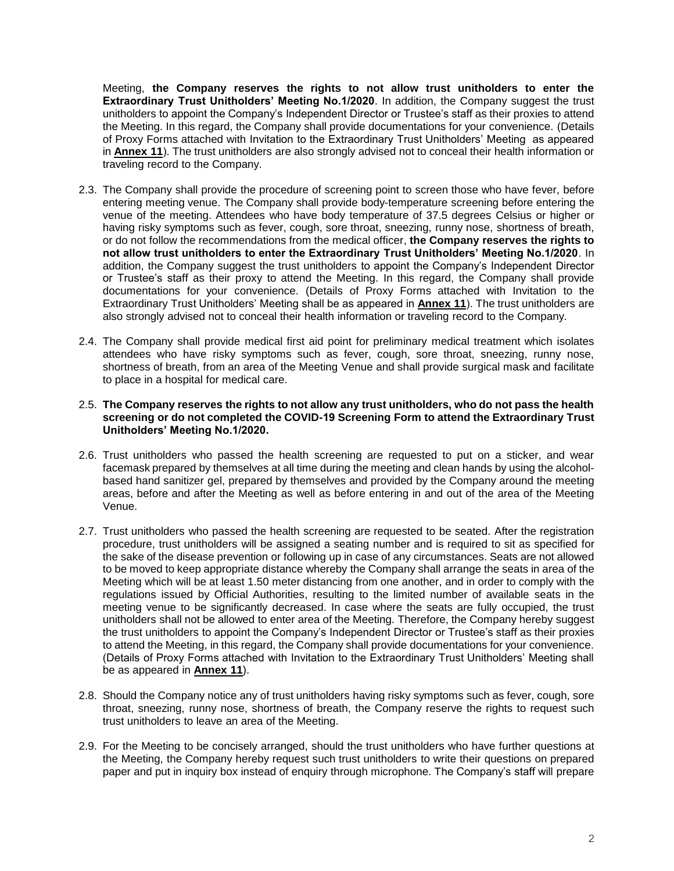Meeting, **the Company reserves the rights to not allow trust unitholders to enter the Extraordinary Trust Unitholders' Meeting No.1/2020**. In addition, the Company suggest the trust unitholders to appoint the Company's Independent Director or Trustee's staff as their proxies to attend the Meeting. In this regard, the Company shall provide documentations for your convenience. (Details of Proxy Forms attached with Invitation to the Extraordinary Trust Unitholders' Meeting as appeared in **Annex 11**). The trust unitholders are also strongly advised not to conceal their health information or traveling record to the Company.

- 2.3. The Company shall provide the procedure of screening point to screen those who have fever, before entering meeting venue. The Company shall provide body-temperature screening before entering the venue of the meeting. Attendees who have body temperature of 37.5 degrees Celsius or higher or having risky symptoms such as fever, cough, sore throat, sneezing, runny nose, shortness of breath, or do not follow the recommendations from the medical officer, **the Company reserves the rights to not allow trust unitholders to enter the Extraordinary Trust Unitholders' Meeting No.1/2020**. In addition, the Company suggest the trust unitholders to appoint the Company's Independent Director or Trustee's staff as their proxy to attend the Meeting. In this regard, the Company shall provide documentations for your convenience. (Details of Proxy Forms attached with Invitation to the Extraordinary Trust Unitholders' Meeting shall be as appeared in **Annex 11**). The trust unitholders are also strongly advised not to conceal their health information or traveling record to the Company.
- 2.4. The Company shall provide medical first aid point for preliminary medical treatment which isolates attendees who have risky symptoms such as fever, cough, sore throat, sneezing, runny nose, shortness of breath, from an area of the Meeting Venue and shall provide surgical mask and facilitate to place in a hospital for medical care.

## 2.5. **The Company reserves the rights to not allow any trust unitholders, who do not pass the health screening or do not completed the COVID-19 Screening Form to attend the Extraordinary Trust Unitholders' Meeting No.1/2020.**

- 2.6. Trust unitholders who passed the health screening are requested to put on a sticker, and wear facemask prepared by themselves at all time during the meeting and clean hands by using the alcoholbased hand sanitizer gel, prepared by themselves and provided by the Company around the meeting areas, before and after the Meeting as well as before entering in and out of the area of the Meeting Venue.
- 2.7. Trust unitholders who passed the health screening are requested to be seated. After the registration procedure, trust unitholders will be assigned a seating number and is required to sit as specified for the sake of the disease prevention or following up in case of any circumstances. Seats are not allowed to be moved to keep appropriate distance whereby the Company shall arrange the seats in area of the Meeting which will be at least 1.50 meter distancing from one another, and in order to comply with the regulations issued by Official Authorities, resulting to the limited number of available seats in the meeting venue to be significantly decreased. In case where the seats are fully occupied, the trust unitholders shall not be allowed to enter area of the Meeting. Therefore, the Company hereby suggest the trust unitholders to appoint the Company's Independent Director or Trustee's staff as their proxies to attend the Meeting, in this regard, the Company shall provide documentations for your convenience. (Details of Proxy Forms attached with Invitation to the Extraordinary Trust Unitholders' Meeting shall be as appeared in **Annex 11**).
- 2.8. Should the Company notice any of trust unitholders having risky symptoms such as fever, cough, sore throat, sneezing, runny nose, shortness of breath, the Company reserve the rights to request such trust unitholders to leave an area of the Meeting.
- 2.9. For the Meeting to be concisely arranged, should the trust unitholders who have further questions at the Meeting, the Company hereby request such trust unitholders to write their questions on prepared paper and put in inquiry box instead of enquiry through microphone. The Company's staff will prepare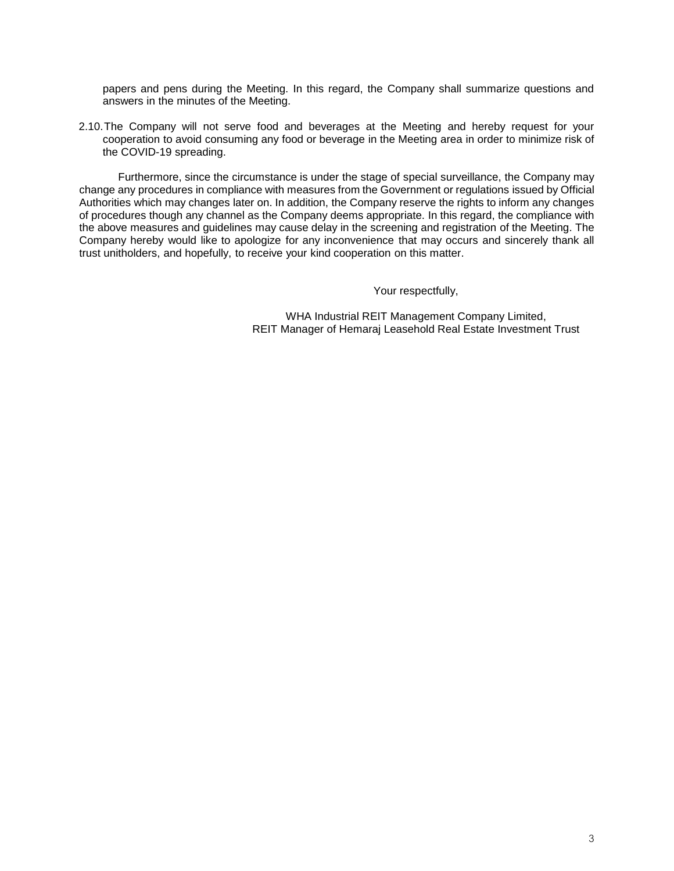papers and pens during the Meeting. In this regard, the Company shall summarize questions and answers in the minutes of the Meeting.

2.10.The Company will not serve food and beverages at the Meeting and hereby request for your cooperation to avoid consuming any food or beverage in the Meeting area in order to minimize risk of the COVID-19 spreading.

Furthermore, since the circumstance is under the stage of special surveillance, the Company may change any procedures in compliance with measures from the Government or regulations issued by Official Authorities which may changes later on. In addition, the Company reserve the rights to inform any changes of procedures though any channel as the Company deems appropriate. In this regard, the compliance with the above measures and guidelines may cause delay in the screening and registration of the Meeting. The Company hereby would like to apologize for any inconvenience that may occurs and sincerely thank all trust unitholders, and hopefully, to receive your kind cooperation on this matter.

Your respectfully,

WHA Industrial REIT Management Company Limited, REIT Manager of Hemaraj Leasehold Real Estate Investment Trust